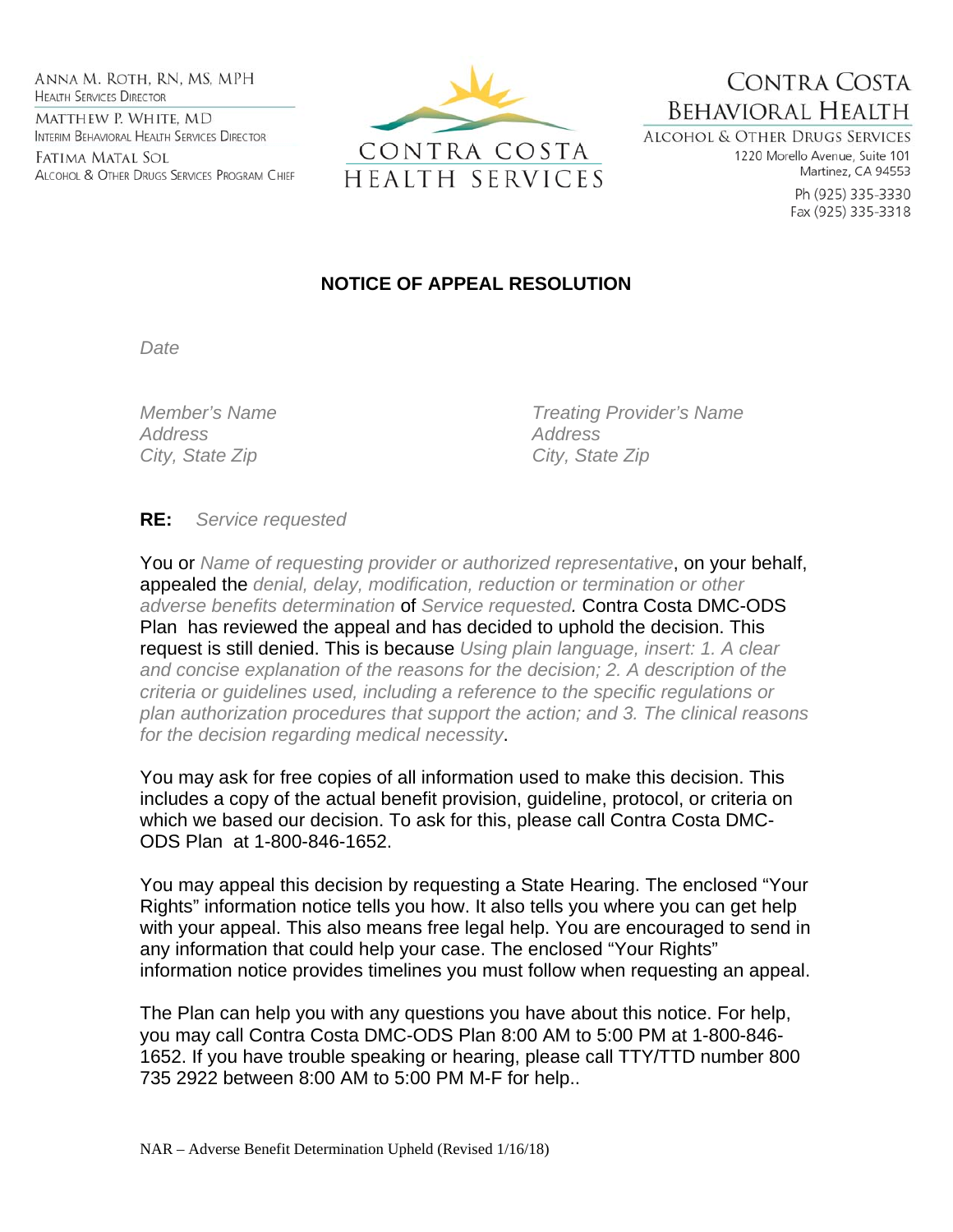ANNA M. ROTH, RN, MS, MPH **HEALTH SERVICES DIRECTOR** MATTHEW P. WHITE, MD INTERIM BEHAVIORAL HEALTH SERVICES DIRECTOR

Fatima Matal Sol ALCOHOL & OTHER DRUGS SERVICES PROGRAM CHIEF



CONTRA COSTA **BEHAVIORAL HEALTH ALCOHOL & OTHER DRUGS SERVICES** 

1220 Morello Avenue, Suite 101 Martinez, CA 94553

> Ph (925) 335-3330 Fax (925) 335-3318

## **NOTICE OF APPEAL RESOLUTION**

*Date* 

*Address Address*  City, State Zip **City**, State Zip

*Member's Name Treating Provider's Name* 

**RE:** *Service requested*

You or *Name of requesting provider or authorized representative*, on your behalf, appealed the *denial, delay, modification, reduction or termination or other adverse benefits determination* of *Service requested.* Contra Costa DMC-ODS Plan has reviewed the appeal and has decided to uphold the decision. This request is still denied. This is because *Using plain language, insert: 1. A clear and concise explanation of the reasons for the decision; 2. A description of the criteria or guidelines used, including a reference to the specific regulations or plan authorization procedures that support the action; and 3. The clinical reasons for the decision regarding medical necessity*.

You may ask for free copies of all information used to make this decision. This includes a copy of the actual benefit provision, guideline, protocol, or criteria on which we based our decision. To ask for this, please call Contra Costa DMC-ODS Plan at 1-800-846-1652.

You may appeal this decision by requesting a State Hearing. The enclosed "Your Rights" information notice tells you how. It also tells you where you can get help with your appeal. This also means free legal help. You are encouraged to send in any information that could help your case. The enclosed "Your Rights" information notice provides timelines you must follow when requesting an appeal.

The Plan can help you with any questions you have about this notice. For help, you may call Contra Costa DMC-ODS Plan 8:00 AM to 5:00 PM at 1-800-846- 1652. If you have trouble speaking or hearing, please call TTY/TTD number 800 735 2922 between 8:00 AM to 5:00 PM M-F for help..